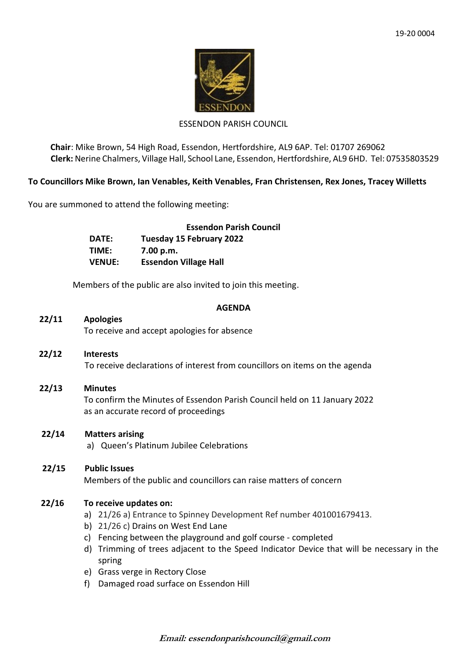

### ESSENDON PARISH COUNCIL

**Chair**: Mike Brown, 54 High Road, Essendon, Hertfordshire, AL9 6AP. Tel: 01707 269062 **Clerk:** Nerine Chalmers, Village Hall, School Lane, Essendon, Hertfordshire, AL9 6HD. Tel: 07535803529

### **To Councillors Mike Brown, Ian Venables, Keith Venables, Fran Christensen, Rex Jones, Tracey Willetts**

You are summoned to attend the following meeting:

|               | <b>Essendon Parish Council</b> |
|---------------|--------------------------------|
| DATE:         | Tuesday 15 February 2022       |
| TIME:         | 7.00 p.m.                      |
| <b>VENUE:</b> | <b>Essendon Village Hall</b>   |

Members of the public are also invited to join this meeting.

#### **AGENDA**

# **22/11 Apologies**

To receive and accept apologies for absence

- **22/12 Interests** To receive declarations of interest from councillors on items on the agenda
- **22/13 Minutes** To confirm the Minutes of Essendon Parish Council held on 11 January 2022 as an accurate record of proceedings

### **22/14 Matters arising**

a) Queen's Platinum Jubilee Celebrations

### **22/15 Public Issues** Members of the public and councillors can raise matters of concern

# **22/16 To receive updates on:**

- a) 21/26 a) Entrance to Spinney Development Ref number 401001679413.
- b) 21/26 c) Drains on West End Lane
- c) Fencing between the playground and golf course completed
- d) Trimming of trees adjacent to the Speed Indicator Device that will be necessary in the spring
- e) Grass verge in Rectory Close
- f) Damaged road surface on Essendon Hill

**Email: essendonparishcouncil@gmail.com**